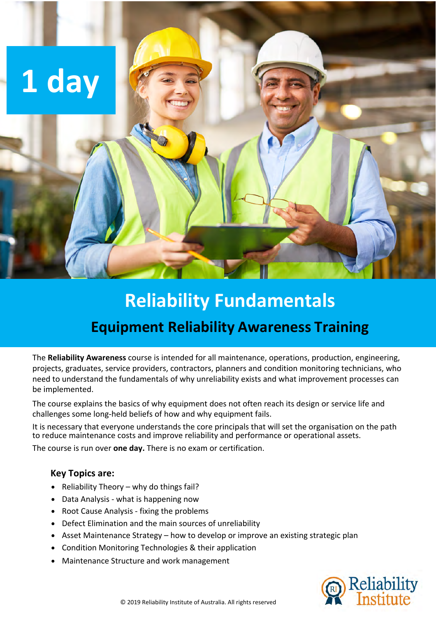

## **Reliability Fundamentals**

## **Equipment Reliability Awareness Training**

The **Reliability Awareness** course is intended for all maintenance, operations, production, engineering, projects, graduates, service providers, contractors, planners and condition monitoring technicians, who need to understand the fundamentals of why unreliability exists and what improvement processes can be implemented.

The course explains the basics of why equipment does not often reach its design or service life and challenges some long-held beliefs of how and why equipment fails.

It is necessary that everyone understands the core principals that will set the organisation on the path to reduce maintenance costs and improve reliability and performance or operational assets.

The course is run over **one day.** There is no exam or certification.

#### **Key Topics are:**

- Reliability Theory why do things fail?
- Data Analysis what is happening now
- Root Cause Analysis fixing the problems
- Defect Elimination and the main sources of unreliability
- Asset Maintenance Strategy how to develop or improve an existing strategic plan
- Condition Monitoring Technologies & their application
- Maintenance Structure and work management